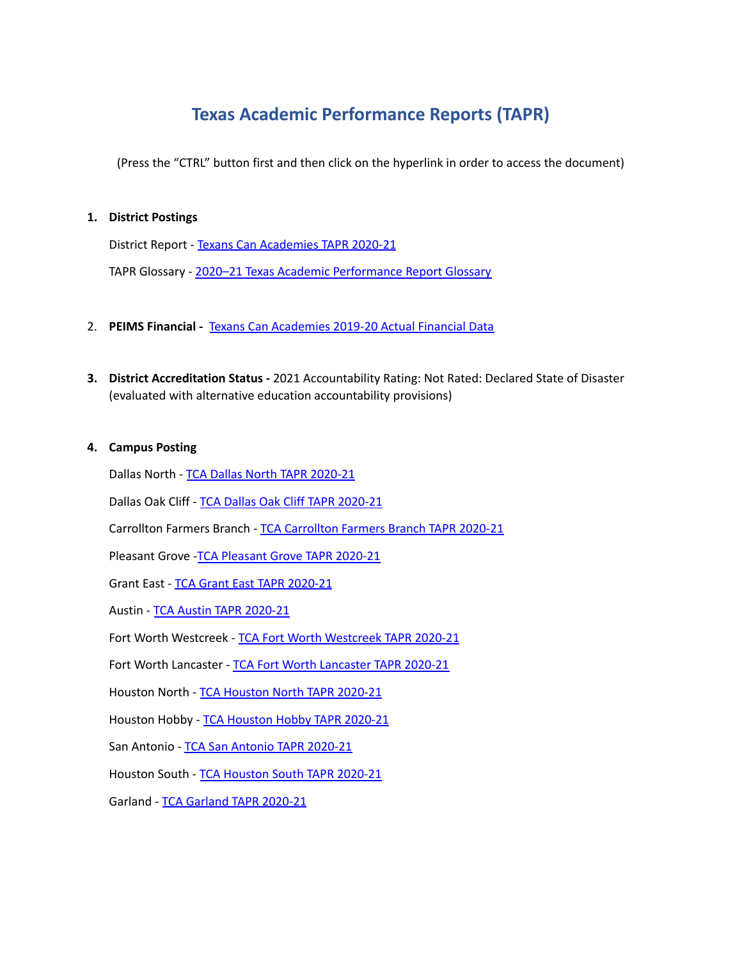# **Texas Academic Performance Reports (TAPR)**

(Press the "CTRL" button first and then click on the hyperlink in order to access the document)

# **1. District Postings**

District Report - Texans Can [Academies](https://rptsvr1.tea.texas.gov/cgi/sas/broker?_service=marykay&_program=perfrept.perfmast.sas&_debug=0&ccyy=2021&lev=D&id=057804&prgopt=reports%2Ftapr%2Fpaper_tapr.sas) TAPR 2020-21

TAPR Glossary - 2020-21 Texas Academic [Performance](https://rptsvr1.tea.texas.gov/perfreport/tapr/2021/glossary.pdf) Report Glossary

- 2. **PEIMS Financial -** Texans Can [Academies](https://rptsvr1.tea.texas.gov/cgi/sas/broker?_service=marykay&_service=appserv&_debug=0&_program=sfadhoc.actual_report_2020.sas&who_box=&who_list=057804) 2019-20 Actual Financial Data
- **3. District Accreditation Status -** 2021 Accountability Rating: Not Rated: Declared State of Disaster (evaluated with alternative education accountability provisions)

#### **4. Campus Posting**

Dallas North - TCA Dallas North TAPR [2020-21](https://rptsvr1.tea.texas.gov/cgi/sas/broker?_service=marykay&_program=perfrept.perfmast.sas&_debug=0&ccyy=2021&lev=C&id=057804001&prgopt=reports%2Ftapr%2Fpaper_tapr.sas)

Dallas Oak Cliff - TCA Dallas Oak Cliff TAPR [2020-21](https://rptsvr1.tea.texas.gov/cgi/sas/broker?_service=marykay&_program=perfrept.perfmast.sas&_debug=0&ccyy=2021&lev=C&id=057804002&prgopt=reports%2Ftapr%2Fpaper_tapr.sas)

[Carrollton](https://rptsvr1.tea.texas.gov/cgi/sas/broker?_service=marykay&_program=perfrept.perfmast.sas&_debug=0&ccyy=2021&lev=C&id=057804003&prgopt=reports%2Ftapr%2Fpaper_tapr.sas) Farmers Branch - TCA Carrollton Farmers Branch TAPR 2020-21

[Pleasant](https://rptsvr1.tea.texas.gov/cgi/sas/broker?_service=marykay&_program=perfrept.perfmast.sas&_debug=0&ccyy=2021&lev=C&id=057804004&prgopt=reports%2Ftapr%2Fpaper_tapr.sas) Grove - TCA Pleasant Grove TAPR 2020-21

Grant East - TCA Grant East TAPR [2020-21](https://rptsvr1.tea.texas.gov/cgi/sas/broker?_service=marykay&_program=perfrept.perfmast.sas&_debug=0&ccyy=2021&lev=C&id=057804005&prgopt=reports%2Ftapr%2Fpaper_tapr.sas)

Austin - TCA Austin TAPR [2020-21](https://rptsvr1.tea.texas.gov/cgi/sas/broker?_service=marykay&_program=perfrept.perfmast.sas&_debug=0&ccyy=2021&lev=C&id=057804006&prgopt=reports%2Ftapr%2Fpaper_tapr.sas)

Fort Worth [Westcreek](https://rptsvr1.tea.texas.gov/cgi/sas/broker?_service=marykay&_program=perfrept.perfmast.sas&_debug=0&ccyy=2021&lev=C&id=057804007&prgopt=reports%2Ftapr%2Fpaper_tapr.sas) - TCA Fort Worth Westcreek TAPR 2020-21

Fort Worth Lancaster - TCA Fort Worth [Lancaster](https://rptsvr1.tea.texas.gov/cgi/sas/broker?_service=marykay&_program=perfrept.perfmast.sas&_debug=0&ccyy=2021&lev=C&id=057804008&prgopt=reports%2Ftapr%2Fpaper_tapr.sas) TAPR 2020-21

[Houston](https://rptsvr1.tea.texas.gov/cgi/sas/broker?_service=marykay&_program=perfrept.perfmast.sas&_debug=0&ccyy=2021&lev=C&id=057804009&prgopt=reports%2Ftapr%2Fpaper_tapr.sas) North - TCA Houston North TAPR 2020-21

Houston Hobby - TCA [Houston](https://rptsvr1.tea.texas.gov/cgi/sas/broker?_service=marykay&_program=perfrept.perfmast.sas&_debug=0&ccyy=2021&lev=C&id=057804010&prgopt=reports%2Ftapr%2Fpaper_tapr.sas) Hobby TAPR 2020-21

San Antonio - TCA San Antonio TAPR [2020-21](https://rptsvr1.tea.texas.gov/cgi/sas/broker?_service=marykay&_program=perfrept.perfmast.sas&_debug=0&ccyy=2021&lev=C&id=057804011&prgopt=reports%2Ftapr%2Fpaper_tapr.sas)

Houston South - TCA [Houston](https://rptsvr1.tea.texas.gov/cgi/sas/broker?_service=marykay&_program=perfrept.perfmast.sas&_debug=0&ccyy=2021&lev=C&id=057804012&prgopt=reports%2Ftapr%2Fpaper_tapr.sas) South TAPR 2020-21

Garland - TCA Garland TAPR [2020-21](https://rptsvr1.tea.texas.gov/cgi/sas/broker?_service=marykay&_program=perfrept.perfmast.sas&_debug=0&ccyy=2021&lev=C&id=057804013&prgopt=reports%2Ftapr%2Fpaper_tapr.sas)